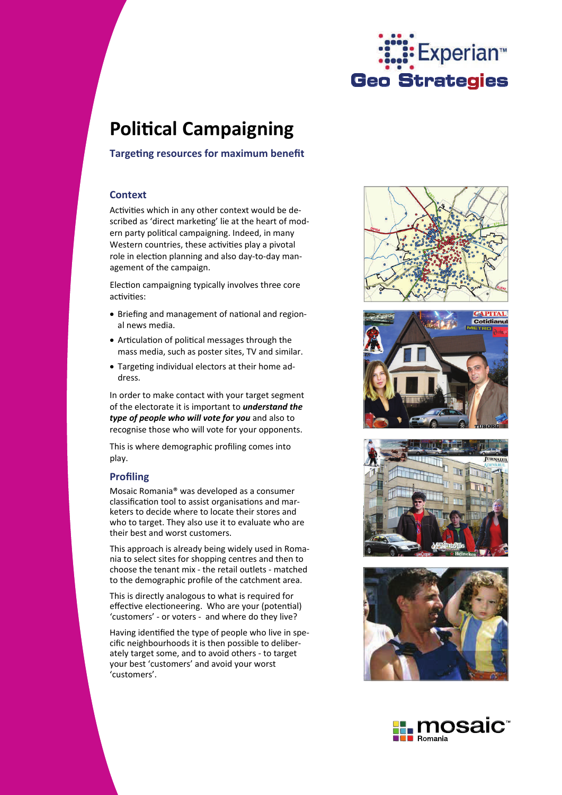

# **PoliƟcal Campaigning**

**TargeƟng resources for maximum benefit**

# **Context**

Activities which in any other context would be described as 'direct marketing' lie at the heart of modern party political campaigning. Indeed, in many Western countries, these activities play a pivotal role in election planning and also day-to-day management of the campaign.

Election campaigning typically involves three core activities:

- Briefing and management of national and regional news media.
- Articulation of political messages through the mass media, such as poster sites, TV and similar.
- Targeting individual electors at their home address.

In order to make contact with your target segment of the electorate it is important to *understand the type of people who will vote for you* and also to recognise those who will vote for your opponents.

This is where demographic profiling comes into play.

# **Profiling**

Mosaic Romania® was developed as a consumer classification tool to assist organisations and marketers to decide where to locate their stores and who to target. They also use it to evaluate who are their best and worst customers.

This approach is already being widely used in Romania to select sites for shopping centres and then to choose the tenant mix - the retail outlets - matched to the demographic profile of the catchment area.

This is directly analogous to what is required for effective electioneering. Who are your (potential) 'customers' - or voters - and where do they live?

Having identified the type of people who live in specific neighbourhoods it is then possible to deliberately target some, and to avoid others - to target your best 'customers' and avoid your worst 'customers'.